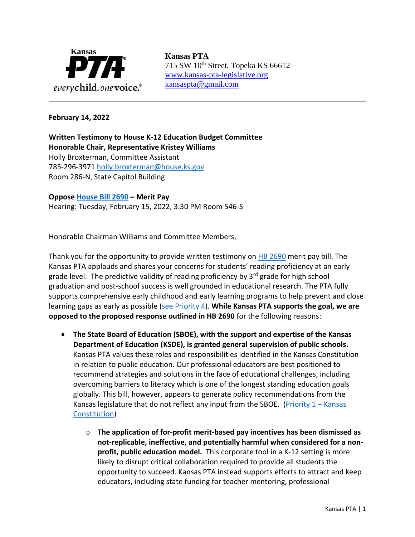

715 SW 10<sup>th</sup> Street, Topeka KS 66612 [www.kansas-pta-legislative.org](http://www.kansas-pta-legislative.org/)  [kansaspta@gmail.com](mailto:kansaspta@gmail.com)

## **February 14, 2022**

**Written Testimony to House K-12 Education Budget Committee Honorable Chair, Representative Kristey Williams** Holly Broxterman, Committee Assistant 785-296-3971 [holly.broxterman@house.ks.gov](mailto:holly.broxterman@house.ks.gov) Room 286-N, State Capitol Building

**Oppose [House Bill 2690](http://www.kslegislature.org/li/b2021_22/measures/hb2690/) – Merit Pay**  Hearing: Tuesday, February 15, 2022, 3:30 PM Room 546-S

Honorable Chairman Williams and Committee Members,

Thank you for the opportunity to provide written testimony on **HB 2690** merit pay bill. The Kansas PTA applauds and shares your concerns for students' reading proficiency at an early grade level. The predictive validity of reading proficiency by 3<sup>rd</sup> grade for high school graduation and post-school success is well grounded in educational research. The PTA fully supports comprehensive early childhood and early learning programs to help prevent and close learning gaps as early as possible [\(see Priority 4\)](https://kansas-pta.org/advocacy/legislative-priorities/). **While Kansas PTA supports the goal, we are opposed to the proposed response outlined in HB 2690** for the following reasons:

- **The State Board of Education (SBOE), with the support and expertise of the Kansas Department of Education (KSDE), is granted general supervision of public schools.**  Kansas PTA values these roles and responsibilities identified in the Kansas Constitution in relation to public education. Our professional educators are best positioned to recommend strategies and solutions in the face of educational challenges, including overcoming barriers to literacy which is one of the longest standing education goals globally. This bill, however, appears to generate policy recommendations from the Kansas legislature that do not reflect any input from the SBOE. (Priority  $1 -$ Kansas [Constitution\)](https://kansas-pta.org/advocacy/legislative-priorities/)
	- o **The application of for-profit merit-based pay incentives has been dismissed as not-replicable, ineffective, and potentially harmful when considered for a nonprofit, public education model.** This corporate tool in a K-12 setting is more likely to disrupt critical collaboration required to provide all students the opportunity to succeed. Kansas PTA instead supports efforts to attract and keep educators, including state funding for teacher mentoring, professional